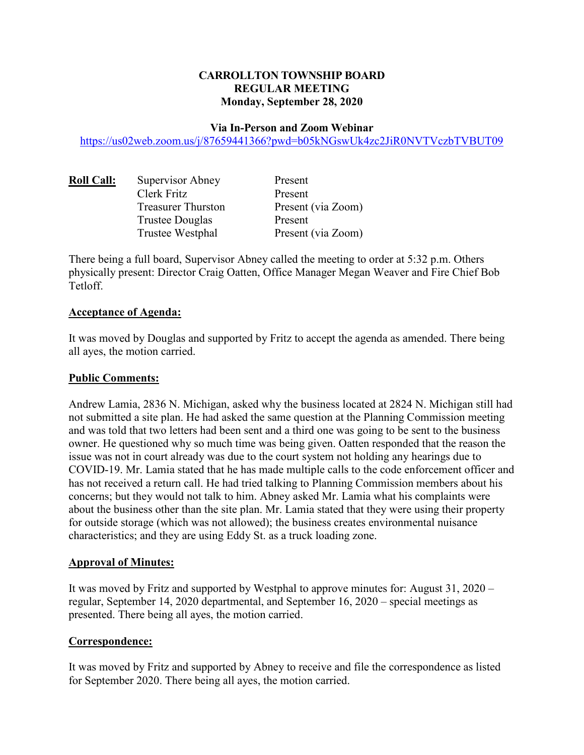# **CARROLLTON TOWNSHIP BOARD REGULAR MEETING Monday, September 28, 2020**

#### **Via In-Person and Zoom Webinar**

https://us02web.zoom.us/j/87659441366?pwd=b05kNGswUk4zc2JiR0NVTVczbTVBUT09

| <b>Roll Call:</b> | Supervisor Abney          | Present            |
|-------------------|---------------------------|--------------------|
|                   | Clerk Fritz               | Present            |
|                   | <b>Treasurer Thurston</b> | Present (via Zoom) |
|                   | <b>Trustee Douglas</b>    | Present            |
|                   | Trustee Westphal          | Present (via Zoom) |

There being a full board, Supervisor Abney called the meeting to order at 5:32 p.m. Others physically present: Director Craig Oatten, Office Manager Megan Weaver and Fire Chief Bob **Tetloff** 

#### **Acceptance of Agenda:**

It was moved by Douglas and supported by Fritz to accept the agenda as amended. There being all ayes, the motion carried.

#### **Public Comments:**

Andrew Lamia, 2836 N. Michigan, asked why the business located at 2824 N. Michigan still had not submitted a site plan. He had asked the same question at the Planning Commission meeting and was told that two letters had been sent and a third one was going to be sent to the business owner. He questioned why so much time was being given. Oatten responded that the reason the issue was not in court already was due to the court system not holding any hearings due to COVID-19. Mr. Lamia stated that he has made multiple calls to the code enforcement officer and has not received a return call. He had tried talking to Planning Commission members about his concerns; but they would not talk to him. Abney asked Mr. Lamia what his complaints were about the business other than the site plan. Mr. Lamia stated that they were using their property for outside storage (which was not allowed); the business creates environmental nuisance characteristics; and they are using Eddy St. as a truck loading zone.

### **Approval of Minutes:**

It was moved by Fritz and supported by Westphal to approve minutes for: August 31, 2020 – regular, September 14, 2020 departmental, and September 16, 2020 – special meetings as presented. There being all ayes, the motion carried.

### **Correspondence:**

It was moved by Fritz and supported by Abney to receive and file the correspondence as listed for September 2020. There being all ayes, the motion carried.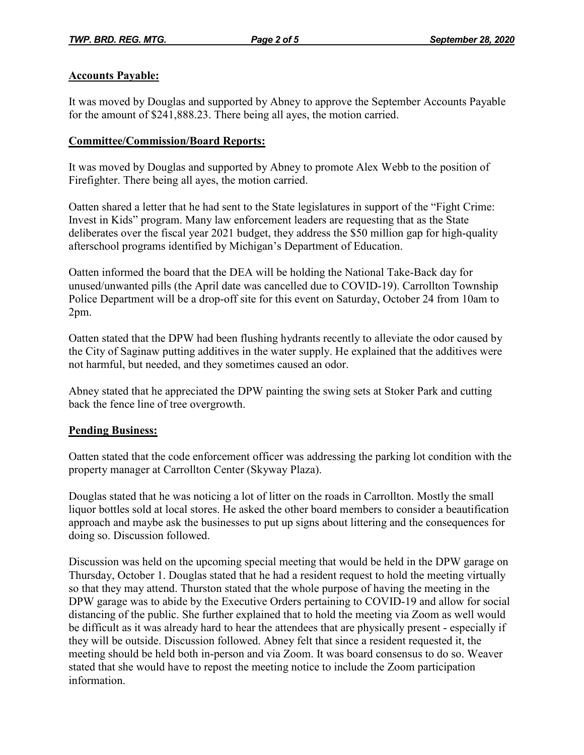## **Accounts Payable:**

It was moved by Douglas and supported by Abney to approve the September Accounts Payable for the amount of \$241,888.23. There being all ayes, the motion carried.

## **Committee/Commission/Board Reports:**

It was moved by Douglas and supported by Abney to promote Alex Webb to the position of Firefighter. There being all ayes, the motion carried.

Oatten shared a letter that he had sent to the State legislatures in support of the "Fight Crime: Invest in Kids" program. Many law enforcement leaders are requesting that as the State deliberates over the fiscal year 2021 budget, they address the \$50 million gap for high-quality afterschool programs identified by Michigan's Department of Education.

Oatten informed the board that the DEA will be holding the National Take-Back day for unused/unwanted pills (the April date was cancelled due to COVID-19). Carrollton Township Police Department will be a drop-off site for this event on Saturday, October 24 from 10am to 2pm.

Oatten stated that the DPW had been flushing hydrants recently to alleviate the odor caused by the City of Saginaw putting additives in the water supply. He explained that the additives were not harmful, but needed, and they sometimes caused an odor.

Abney stated that he appreciated the DPW painting the swing sets at Stoker Park and cutting back the fence line of tree overgrowth.

### **Pending Business:**

Oatten stated that the code enforcement officer was addressing the parking lot condition with the property manager at Carrollton Center (Skyway Plaza).

Douglas stated that he was noticing a lot of litter on the roads in Carrollton. Mostly the small liquor bottles sold at local stores. He asked the other board members to consider a beautification approach and maybe ask the businesses to put up signs about littering and the consequences for doing so. Discussion followed.

Discussion was held on the upcoming special meeting that would be held in the DPW garage on Thursday, October 1. Douglas stated that he had a resident request to hold the meeting virtually so that they may attend. Thurston stated that the whole purpose of having the meeting in the DPW garage was to abide by the Executive Orders pertaining to COVID-19 and allow for social distancing of the public. She further explained that to hold the meeting via Zoom as well would be difficult as it was already hard to hear the attendees that are physically present - especially if they will be outside. Discussion followed. Abney felt that since a resident requested it, the meeting should be held both in-person and via Zoom. It was board consensus to do so. Weaver stated that she would have to repost the meeting notice to include the Zoom participation information.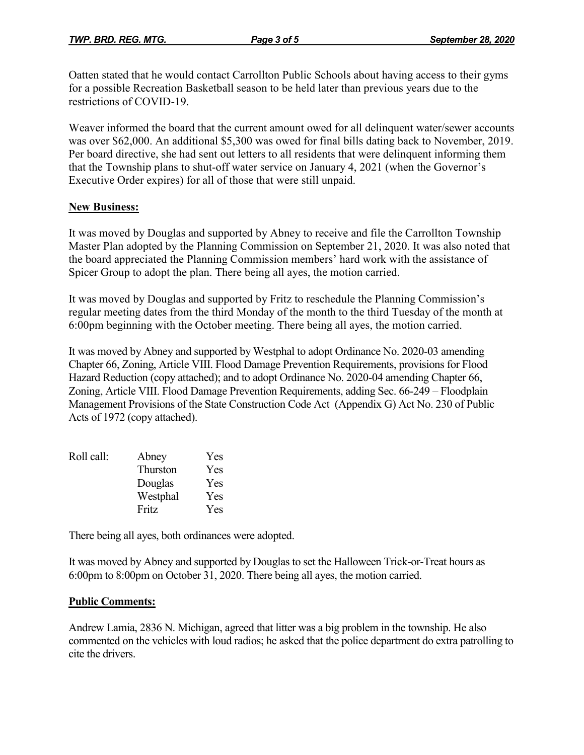Oatten stated that he would contact Carrollton Public Schools about having access to their gyms for a possible Recreation Basketball season to be held later than previous years due to the restrictions of COVID-19.

Weaver informed the board that the current amount owed for all delinquent water/sewer accounts was over \$62,000. An additional \$5,300 was owed for final bills dating back to November, 2019. Per board directive, she had sent out letters to all residents that were delinquent informing them that the Township plans to shut-off water service on January 4, 2021 (when the Governor's Executive Order expires) for all of those that were still unpaid.

### **New Business:**

It was moved by Douglas and supported by Abney to receive and file the Carrollton Township Master Plan adopted by the Planning Commission on September 21, 2020. It was also noted that the board appreciated the Planning Commission members' hard work with the assistance of Spicer Group to adopt the plan. There being all ayes, the motion carried.

It was moved by Douglas and supported by Fritz to reschedule the Planning Commission's regular meeting dates from the third Monday of the month to the third Tuesday of the month at 6:00pm beginning with the October meeting. There being all ayes, the motion carried.

It was moved by Abney and supported by Westphal to adopt Ordinance No. 2020-03 amending Chapter 66, Zoning, Article VIII. Flood Damage Prevention Requirements, provisions for Flood Hazard Reduction (copy attached); and to adopt Ordinance No. 2020-04 amending Chapter 66, Zoning, Article VIII. Flood Damage Prevention Requirements, adding Sec. 66-249 – Floodplain Management Provisions of the State Construction Code Act (Appendix G) Act No. 230 of Public Acts of 1972 (copy attached).

| Roll call: | Abney    | Yes |
|------------|----------|-----|
|            | Thurston | Yes |
|            | Douglas  | Yes |
|            | Westphal | Yes |
|            | Fritz    | Yes |

There being all ayes, both ordinances were adopted.

It was moved by Abney and supported by Douglas to set the Halloween Trick-or-Treat hours as 6:00pm to 8:00pm on October 31, 2020. There being all ayes, the motion carried.

### **Public Comments:**

Andrew Lamia, 2836 N. Michigan, agreed that litter was a big problem in the township. He also commented on the vehicles with loud radios; he asked that the police department do extra patrolling to cite the drivers.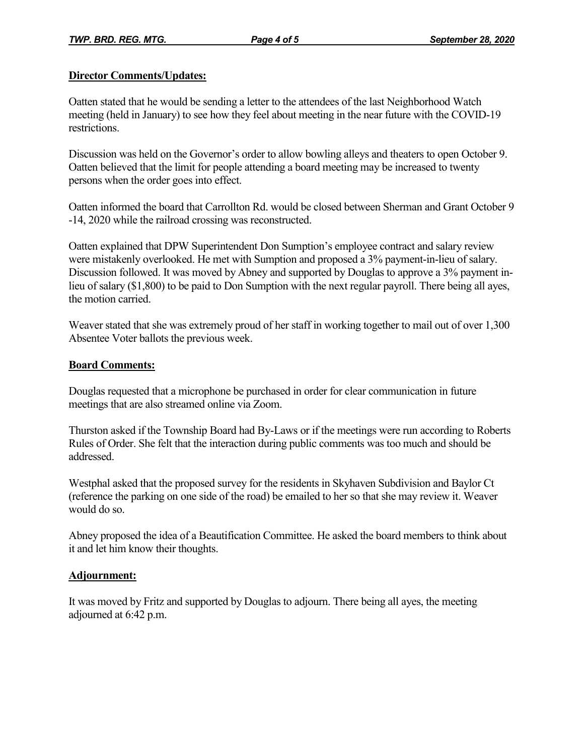## **Director Comments/Updates:**

Oatten stated that he would be sending a letter to the attendees of the last Neighborhood Watch meeting (held in January) to see how they feel about meeting in the near future with the COVID-19 restrictions.

Discussion was held on the Governor's order to allow bowling alleys and theaters to open October 9. Oatten believed that the limit for people attending a board meeting may be increased to twenty persons when the order goes into effect.

Oatten informed the board that Carrollton Rd. would be closed between Sherman and Grant October 9 -14, 2020 while the railroad crossing was reconstructed.

Oatten explained that DPW Superintendent Don Sumption's employee contract and salary review were mistakenly overlooked. He met with Sumption and proposed a 3% payment-in-lieu of salary. Discussion followed. It was moved by Abney and supported by Douglas to approve a 3% payment inlieu of salary (\$1,800) to be paid to Don Sumption with the next regular payroll. There being all ayes, the motion carried.

Weaver stated that she was extremely proud of her staff in working together to mail out of over 1,300 Absentee Voter ballots the previous week.

## **Board Comments:**

Douglas requested that a microphone be purchased in order for clear communication in future meetings that are also streamed online via Zoom.

Thurston asked if the Township Board had By-Laws or if the meetings were run according to Roberts Rules of Order. She felt that the interaction during public comments was too much and should be addressed.

Westphal asked that the proposed survey for the residents in Skyhaven Subdivision and Baylor Ct (reference the parking on one side of the road) be emailed to her so that she may review it. Weaver would do so.

Abney proposed the idea of a Beautification Committee. He asked the board members to think about it and let him know their thoughts.

# **Adjournment:**

It was moved by Fritz and supported by Douglas to adjourn. There being all ayes, the meeting adjourned at 6:42 p.m.